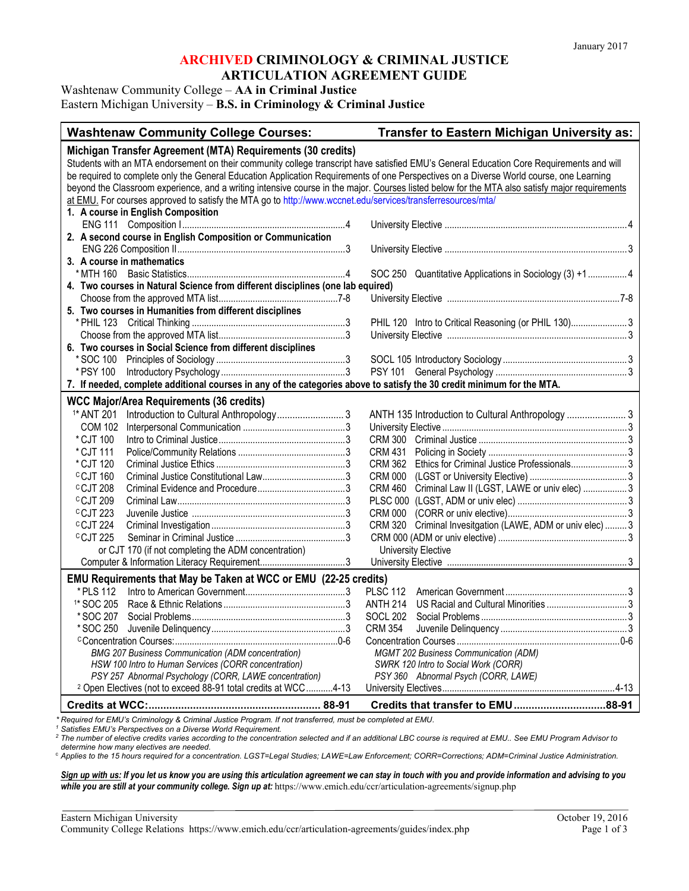Washtenaw Community College – **AA in Criminal Justice**

Eastern Michigan University – **B.S. in Criminology & Criminal Justice**

| <b>Washtenaw Community College Courses:</b>                                                                                                    | Transfer to Eastern Michigan University as:                    |
|------------------------------------------------------------------------------------------------------------------------------------------------|----------------------------------------------------------------|
| Michigan Transfer Agreement (MTA) Requirements (30 credits)                                                                                    |                                                                |
| Students with an MTA endorsement on their community college transcript have satisfied EMU's General Education Core Requirements and will       |                                                                |
| be required to complete only the General Education Application Requirements of one Perspectives on a Diverse World course, one Learning        |                                                                |
| beyond the Classroom experience, and a writing intensive course in the major. Courses listed below for the MTA also satisfy major requirements |                                                                |
| at EMU. For courses approved to satisfy the MTA go to http://www.wccnet.edu/services/transferresources/mta/                                    |                                                                |
| 1. A course in English Composition                                                                                                             |                                                                |
|                                                                                                                                                |                                                                |
| 2. A second course in English Composition or Communication                                                                                     |                                                                |
|                                                                                                                                                |                                                                |
| 3. A course in mathematics                                                                                                                     |                                                                |
| * MTH 160                                                                                                                                      | SOC 250 Quantitative Applications in Sociology (3) +1  4       |
| 4. Two courses in Natural Science from different disciplines (one lab equired)                                                                 |                                                                |
|                                                                                                                                                |                                                                |
| 5. Two courses in Humanities from different disciplines                                                                                        |                                                                |
|                                                                                                                                                | PHIL 120 Intro to Critical Reasoning (or PHIL 130) 3           |
|                                                                                                                                                |                                                                |
| 6. Two courses in Social Science from different disciplines                                                                                    |                                                                |
|                                                                                                                                                |                                                                |
| * PSY 100                                                                                                                                      |                                                                |
| 7. If needed, complete additional courses in any of the categories above to satisfy the 30 credit minimum for the MTA.                         |                                                                |
| <b>WCC Major/Area Requirements (36 credits)</b>                                                                                                |                                                                |
| <sup>1*</sup> ANT 201                                                                                                                          |                                                                |
| <b>COM 102</b>                                                                                                                                 |                                                                |
| * CJT 100                                                                                                                                      |                                                                |
| * CJT 111                                                                                                                                      | <b>CRM 431</b>                                                 |
| *CJT 120                                                                                                                                       | Ethics for Criminal Justice Professionals3<br>CRM 362          |
| $\degree$ CJT 160                                                                                                                              | <b>CRM 000</b>                                                 |
| <sup>C</sup> CJT <sub>208</sub>                                                                                                                | Criminal Law II (LGST, LAWE or univ elec)  3<br><b>CRM 460</b> |
| <sup>C</sup> CJT <sub>209</sub>                                                                                                                |                                                                |
| CCJT 223                                                                                                                                       |                                                                |
| <sup>c</sup> CJT 224                                                                                                                           | CRM 320 Criminal Invesitgation (LAWE, ADM or univ elec)  3     |
| <sup>C</sup> CJT 225                                                                                                                           |                                                                |
| or CJT 170 (if not completing the ADM concentration)                                                                                           | <b>University Elective</b>                                     |
|                                                                                                                                                |                                                                |
| EMU Requirements that May be Taken at WCC or EMU (22-25 credits)                                                                               |                                                                |
| * PI S 112                                                                                                                                     | <b>PLSC 112</b>                                                |
| <sup>1*</sup> SOC 205                                                                                                                          | <b>ANTH 214</b>                                                |
| * SOC 207                                                                                                                                      | <b>SOCL 202</b>                                                |
|                                                                                                                                                |                                                                |
|                                                                                                                                                |                                                                |
| <b>BMG 207 Business Communication (ADM concentration)</b>                                                                                      | <b>MGMT 202 Business Communication (ADM)</b>                   |
| HSW 100 Intro to Human Services (CORR concentration)                                                                                           | SWRK 120 Intro to Social Work (CORR)                           |
| PSY 257 Abnormal Psychology (CORR, LAWE concentration)                                                                                         | PSY 360 Abnormal Psych (CORR, LAWE)                            |
| <sup>2</sup> Open Electives (not to exceed 88-91 total credits at WCC4-13                                                                      |                                                                |
|                                                                                                                                                |                                                                |

*\* Required for EMU's Criminology & Criminal Justice Program. If not transferred, must be completed at EMU. <sup>1</sup> Satisfies EMU's Perspectives on a Diverse World Requirement.*

*<sup>2</sup> The number of elective credits varies according to the concentration selected and if an additional LBC course is required at EMU.. See EMU Program Advisor to determine how many electives are needed.*

<sup>c</sup> *Applies to the 15 hours required for a concentration. LGST=Legal Studies; LAWE=Law Enforcement; CORR=Corrections; ADM=Criminal Justice Administration.*

*Sign up with us: If you let us know you are using this articulation agreement we can stay in touch with you and provide information and advising to you while you are still at your community college. Sign up at:* https://www.emich.edu/ccr/articulation-agreements/signup.php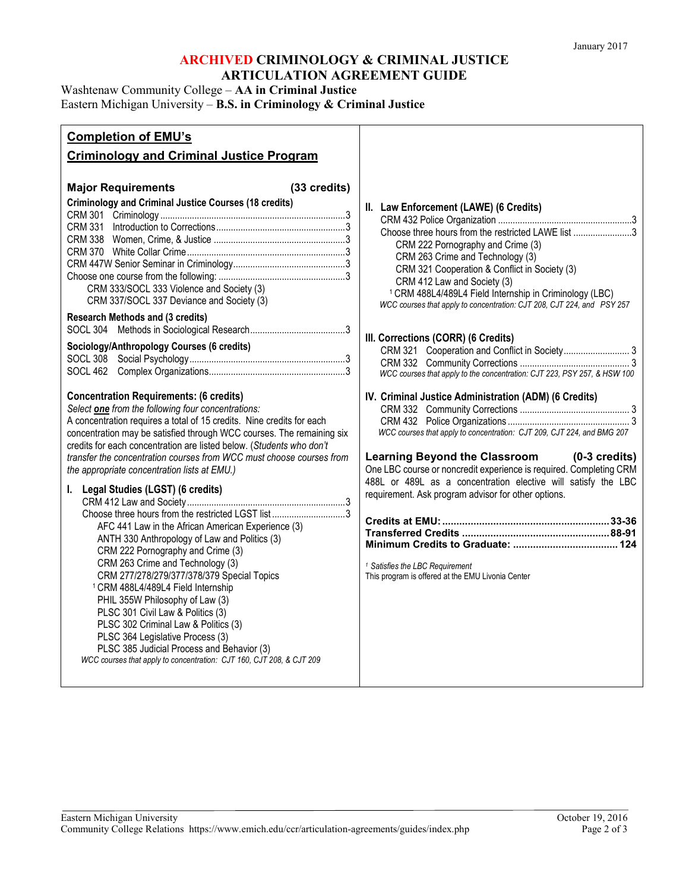Washtenaw Community College – **AA in Criminal Justice**

Eastern Michigan University – **B.S. in Criminology & Criminal Justice**

| <b>Completion of EMU's</b>                                                                                                                                                                                                                                                                                                                                                                                                                                                                                                                                                                                                                         |                                                                                                                                                                                                                                                                                                                                                                                                                                                                                                                                                                                   |
|----------------------------------------------------------------------------------------------------------------------------------------------------------------------------------------------------------------------------------------------------------------------------------------------------------------------------------------------------------------------------------------------------------------------------------------------------------------------------------------------------------------------------------------------------------------------------------------------------------------------------------------------------|-----------------------------------------------------------------------------------------------------------------------------------------------------------------------------------------------------------------------------------------------------------------------------------------------------------------------------------------------------------------------------------------------------------------------------------------------------------------------------------------------------------------------------------------------------------------------------------|
| <b>Criminology and Criminal Justice Program</b>                                                                                                                                                                                                                                                                                                                                                                                                                                                                                                                                                                                                    |                                                                                                                                                                                                                                                                                                                                                                                                                                                                                                                                                                                   |
| (33 credits)<br><b>Major Requirements</b><br><b>Criminology and Criminal Justice Courses (18 credits)</b><br>CRM 333/SOCL 333 Violence and Society (3)<br>CRM 337/SOCL 337 Deviance and Society (3)<br><b>Research Methods and (3 credits)</b><br>Sociology/Anthropology Courses (6 credits)<br><b>Concentration Requirements: (6 credits)</b>                                                                                                                                                                                                                                                                                                     | II. Law Enforcement (LAWE) (6 Credits)<br>Choose three hours from the restricted LAWE list 3<br>CRM 222 Pornography and Crime (3)<br>CRM 263 Crime and Technology (3)<br>CRM 321 Cooperation & Conflict in Society (3)<br>CRM 412 Law and Society (3)<br><sup>1</sup> CRM 488L4/489L4 Field Internship in Criminology (LBC)<br>WCC courses that apply to concentration: CJT 208, CJT 224, and PSY 257<br>III. Corrections (CORR) (6 Credits)<br>WCC courses that apply to the concentration: CJT 223, PSY 257, & HSW 100<br>IV. Criminal Justice Administration (ADM) (6 Credits) |
| Select one from the following four concentrations:<br>A concentration requires a total of 15 credits. Nine credits for each<br>concentration may be satisfied through WCC courses. The remaining six<br>credits for each concentration are listed below. (Students who don't<br>transfer the concentration courses from WCC must choose courses from<br>the appropriate concentration lists at EMU.)                                                                                                                                                                                                                                               | WCC courses that apply to concentration: CJT 209, CJT 224, and BMG 207<br>Learning Beyond the Classroom (0-3 credits)<br>One LBC course or noncredit experience is required. Completing CRM                                                                                                                                                                                                                                                                                                                                                                                       |
| I. Legal Studies (LGST) (6 credits)<br>Choose three hours from the restricted LGST list 3<br>AFC 441 Law in the African American Experience (3)<br>ANTH 330 Anthropology of Law and Politics (3)<br>CRM 222 Pornography and Crime (3)<br>CRM 263 Crime and Technology (3)<br>CRM 277/278/279/377/378/379 Special Topics<br><sup>1</sup> CRM 488L4/489L4 Field Internship<br>PHIL 355W Philosophy of Law (3)<br>PLSC 301 Civil Law & Politics (3)<br>PLSC 302 Criminal Law & Politics (3)<br>PLSC 364 Legislative Process (3)<br>PLSC 385 Judicial Process and Behavior (3)<br>WCC courses that apply to concentration: CJT 160, CJT 208, & CJT 209 | 488L or 489L as a concentration elective will satisfy the LBC<br>requirement. Ask program advisor for other options.<br><sup>1</sup> Satisfies the LBC Requirement<br>This program is offered at the EMU Livonia Center                                                                                                                                                                                                                                                                                                                                                           |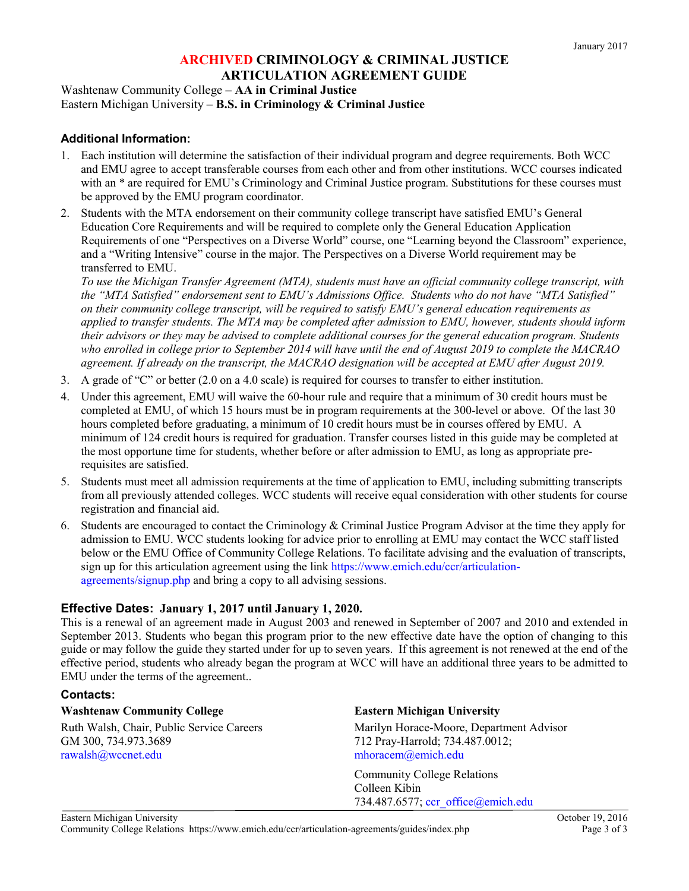Washtenaw Community College – **AA in Criminal Justice** Eastern Michigan University – **B.S. in Criminology & Criminal Justice**

## **Additional Information:**

- 1. Each institution will determine the satisfaction of their individual program and degree requirements. Both WCC and EMU agree to accept transferable courses from each other and from other institutions. WCC courses indicated with an \* are required for EMU's Criminology and Criminal Justice program. Substitutions for these courses must be approved by the EMU program coordinator.
- 2. Students with the MTA endorsement on their community college transcript have satisfied EMU's General Education Core Requirements and will be required to complete only the General Education Application Requirements of one "Perspectives on a Diverse World" course, one "Learning beyond the Classroom" experience, and a "Writing Intensive" course in the major. The Perspectives on a Diverse World requirement may be transferred to EMU.

*To use the Michigan Transfer Agreement (MTA), students must have an official community college transcript, with the "MTA Satisfied" endorsement sent to EMU's Admissions Office. Students who do not have "MTA Satisfied" on their community college transcript, will be required to satisfy EMU's general education requirements as applied to transfer students. The MTA may be completed after admission to EMU, however, students should inform their advisors or they may be advised to complete additional courses for the general education program. Students who enrolled in college prior to September 2014 will have until the end of August 2019 to complete the MACRAO agreement. If already on the transcript, the MACRAO designation will be accepted at EMU after August 2019.*

- 3. A grade of "C" or better (2.0 on a 4.0 scale) is required for courses to transfer to either institution.
- 4. Under this agreement, EMU will waive the 60-hour rule and require that a minimum of 30 credit hours must be completed at EMU, of which 15 hours must be in program requirements at the 300-level or above. Of the last 30 hours completed before graduating, a minimum of 10 credit hours must be in courses offered by EMU. A minimum of 124 credit hours is required for graduation. Transfer courses listed in this guide may be completed at the most opportune time for students, whether before or after admission to EMU, as long as appropriate prerequisites are satisfied.
- 5. Students must meet all admission requirements at the time of application to EMU, including submitting transcripts from all previously attended colleges. WCC students will receive equal consideration with other students for course registration and financial aid.
- 6. Students are encouraged to contact the Criminology & Criminal Justice Program Advisor at the time they apply for admission to EMU. WCC students looking for advice prior to enrolling at EMU may contact the WCC staff listed below or the EMU Office of Community College Relations. To facilitate advising and the evaluation of transcripts, sign up for this articulation agreement using the link [https://www.emich.edu/ccr/articulation](https://www.emich.edu/ccr/articulation-agreements/signup.php)[agreements/signup.php](https://www.emich.edu/ccr/articulation-agreements/signup.php) and bring a copy to all advising sessions.

### **Effective Dates: January 1, 2017 until January 1, 2020.**

This is a renewal of an agreement made in August 2003 and renewed in September of 2007 and 2010 and extended in September 2013. Students who began this program prior to the new effective date have the option of changing to this guide or may follow the guide they started under for up to seven years. If this agreement is not renewed at the end of the effective period, students who already began the program at WCC will have an additional three years to be admitted to EMU under the terms of the agreement..

### **Contacts:**

#### **Washtenaw Community College <b>Eastern Michigan University**

GM 300, 734.973.3689 712 Pray-Harrold; 734.487.0012; [rawalsh@wccnet.edu](mailto:rawalsh@wccnet.edu) [mhoracem@emich.edu](mailto:mhoracem@emich.edu)

Ruth Walsh, Chair, Public Service Careers Marilyn Horace-Moore, Department Advisor

Community College Relations Colleen Kibin 734.487.6577; [ccr\\_office@emich.edu](mailto:ccr_office@emich.edu)